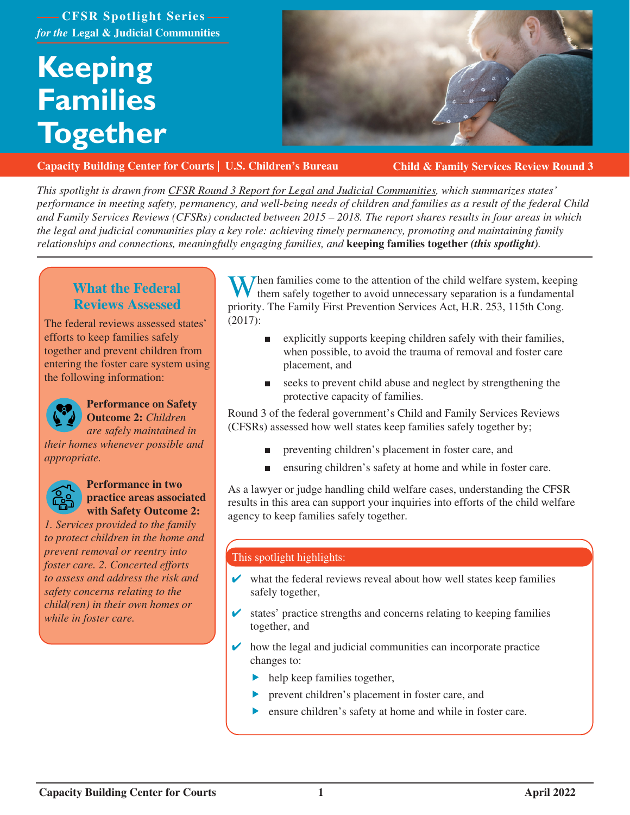### **CFSR Spotlight Series** *for the* **Legal & Judicial Communities**

# **Keeping Families Together**



**[Capacity Building Center for Courts | U.S. Children's Bureau](https://capacity.childwelfare.gov/courts/)**

**Child & Family Services Review Round 3**

*This spotlight is drawn from [CFSR Round 3 Report for Legal and Judicial Communities,](https://www.cfsrportal.acf.hhs.gov/announcements/cfsr-round-3-report-legal-and-judicial-communities) which summarizes states' performance in meeting safety, permanency, and well-being needs of children and families as a result of the federal Child and Family Services Reviews (CFSRs) conducted between 2015 – 2018. The report shares results in four areas in which the legal and judicial communities play a key role: achieving timely permanency, promoting and maintaining family relationships and connections, meaningfully engaging families, and* **keeping families together** *(this spotlight).*

### **What the Federal Reviews Assessed**

The federal reviews assessed states' efforts to keep families safely together and prevent children from entering the foster care system using the following information:



### **Performance on Safety Outcome 2:** *Children*

*are safely maintained in* 

*their homes whenever possible and appropriate.*



### **Performance in two practice areas associated with Safety Outcome 2:**

*1. Services provided to the family to protect children in the home and prevent removal or reentry into foster care. 2. Concerted efforts to assess and address the risk and safety concerns relating to the child(ren) in their own homes or while in foster care.*

When families come to the attention of the child welfare system, keeping them safely together to avoid unnecessary separation is a fundamental priority. The Family First Prevention Services Act, H.R. 253, 115th Cong. (2017):

- explicitly supports keeping children safely with their families, when possible, to avoid the trauma of removal and foster care placement, and
- seeks to prevent child abuse and neglect by strengthening the protective capacity of families.

Round 3 of the federal government's Child and Family Services Reviews (CFSRs) assessed how well states keep families safely together by;

- preventing children's placement in foster care, and
- ensuring children's safety at home and while in foster care.

As a lawyer or judge handling child welfare cases, understanding the CFSR results in this area can support your inquiries into efforts of the child welfare agency to keep families safely together.

### This spotlight highlights:

- $\triangleright$  what the federal reviews reveal about how well states keep families safely together,
- states' practice strengths and concerns relating to keeping families together, and
- $\triangleright$  how the legal and judicial communities can incorporate practice changes to:
	- $\blacktriangleright$  help keep families together,
	- prevent children's placement in foster care, and
	- ensure children's safety at home and while in foster care.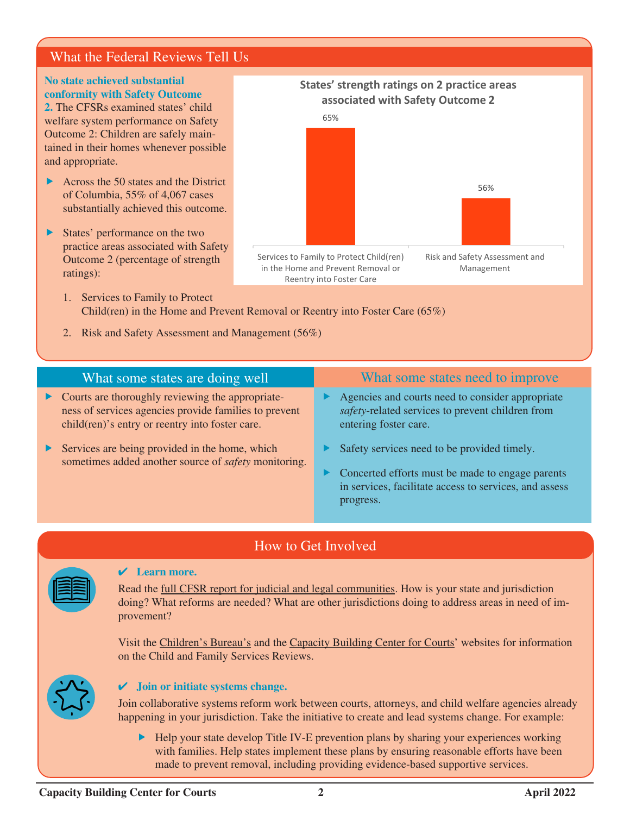### What the Federal Reviews Tell Us

### **No state achieved substantial conformity with Safety Outcome**

**2.** The CFSRs examined states' child welfare system performance on Safety Outcome 2: Children are safely maintained in their homes whenever possible and appropriate.

- $\triangleright$  Across the 50 states and the District of Columbia, 55% of 4,067 cases substantially achieved this outcome.
- $\triangleright$  States' performance on the two practice areas associated with Safety Outcome 2 (percentage of strength ratings):

### **States' strength ratings on 2 practice areas associated with Safety Outcome 2**



- 1. Services to Family to Protect Child(ren) in the Home and Prevent Removal or Reentry into Foster Care (65%)
- 2. Risk and Safety Assessment and Management (56%)

## What some states are doing well What some states need to improve

Reentry into Foster Care

- $\triangleright$  Courts are thoroughly reviewing the appropriateness of services agencies provide families to prevent child(ren)'s entry or reentry into foster care.
- Services are being provided in the home, which sometimes added another source of *safety* monitoring.

- $\blacktriangleright$  Agencies and courts need to consider appropriate *safety*-related services to prevent children from entering foster care.
- $\blacktriangleright$  Safety services need to be provided timely.
- $\triangleright$  Concerted efforts must be made to engage parents in services, facilitate access to services, and assess progress.

### How to Get Involved

### ✔ **Learn more.**

Read the [full CFSR report for judicial and legal communities](https://www.cfsrportal.acf.hhs.gov/announcements/cfsr-round-3-report-legal-and-judicial-communities). How is your state and jurisdiction doing? What reforms are needed? What are other jurisdictions doing to address areas in need of improvement?

Visit the [Children's Bureau's](https://www.acf.hhs.gov/cb/monitoring/child-family-services-reviews/round3) and the [Capacity Building Center for Courts'](https://capacity.childwelfare.gov/courts/focus-areas/cfsrs/) websites for information on the Child and Family Services Reviews.



### ✔ **Join or initiate systems change.**

Join collaborative systems reform work between courts, attorneys, and child welfare agencies already happening in your jurisdiction. Take the initiative to create and lead systems change. For example:

 $\blacktriangleright$  Help your state develop Title IV-E prevention plans by sharing your experiences working with families. Help states implement these plans by ensuring reasonable efforts have been made to prevent removal, including providing evidence-based supportive services.